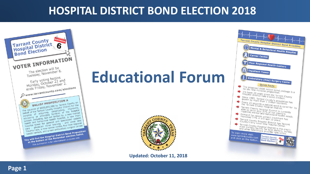# **HOSPITAL DISTRICT BOND ELECTION 2018**





#### **Page 1**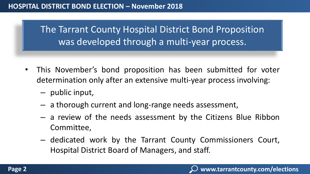The Tarrant County Hospital District Bond Proposition was developed through a multi-year process.

- This November's bond proposition has been submitted for voter determination only after an extensive multi-year process involving:
	- public input,
	- a thorough current and long-range needs assessment,
	- a review of the needs assessment by the Citizens Blue Ribbon Committee,
	- dedicated work by the Tarrant County Commissioners Court, Hospital District Board of Managers, and staff.

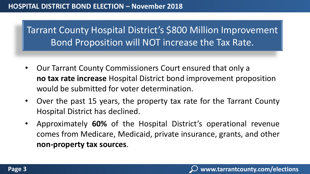### **HOSPITAL DISTRICT BOND ELECTION – November 2018**

Tarrant County Hospital District's \$800 Million Improvement Bond Proposition will NOT increase the Tax Rate.

- Our Tarrant County Commissioners Court ensured that only a **no tax rate increase** Hospital District bond improvement proposition would be submitted for voter determination.
- Over the past 15 years, the property tax rate for the Tarrant County Hospital District has declined.
- Approximately **60%** of the Hospital District's operational revenue comes from Medicare, Medicaid, private insurance, grants, and other **non-property tax sources**.

**www.tarrantcounty.com/elections**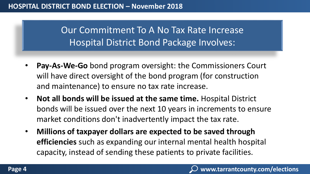Our Commitment To A No Tax Rate Increase Hospital District Bond Package Involves:

- **Pay-As-We-Go** bond program oversight: the Commissioners Court will have direct oversight of the bond program (for construction and maintenance) to ensure no tax rate increase.
- **Not all bonds will be issued at the same time.** Hospital District bonds will be issued over the next 10 years in increments to ensure market conditions don't inadvertently impact the tax rate.
- **Millions of taxpayer dollars are expected to be saved through efficiencies** such as expanding our internal mental health hospital capacity, instead of sending these patients to private facilities.

**www.tarrantcounty.com/elections**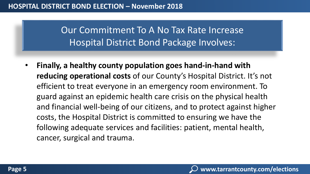Our Commitment To A No Tax Rate Increase Hospital District Bond Package Involves:

• **Finally, a healthy county population goes hand-in-hand with reducing operational costs** of our County's Hospital District. It's not efficient to treat everyone in an emergency room environment. To guard against an epidemic health care crisis on the physical health and financial well-being of our citizens, and to protect against higher costs, the Hospital District is committed to ensuring we have the following adequate services and facilities: patient, mental health, cancer, surgical and trauma.

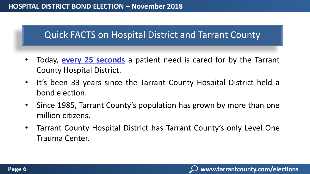## Quick FACTS on Hospital District and Tarrant County

- Today, **every 25 seconds** a patient need is cared for by the Tarrant County Hospital District.
- It's been 33 years since the Tarrant County Hospital District held a bond election.
- Since 1985, Tarrant County's population has grown by more than one million citizens.
- Tarrant County Hospital District has Tarrant County's only Level One Trauma Center.

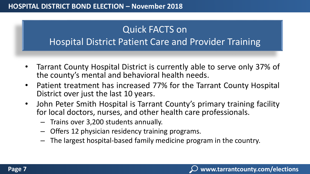# Quick FACTS on Hospital District Patient Care and Provider Training

- Tarrant County Hospital District is currently able to serve only 37% of the county's mental and behavioral health needs.
- Patient treatment has increased 77% for the Tarrant County Hospital District over just the last 10 years.
- John Peter Smith Hospital is Tarrant County's primary training facility for local doctors, nurses, and other health care professionals.
	- Trains over 3,200 students annually.
	- Offers 12 physician residency training programs.
	- The largest hospital-based family medicine program in the country.

**www.tarrantcounty.com/elections**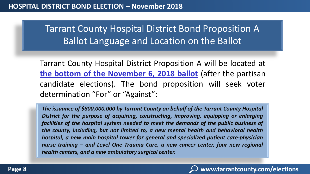Tarrant County Hospital District Bond Proposition A Ballot Language and Location on the Ballot

Tarrant County Hospital District Proposition A will be located at **the bottom of the November 6, 2018 ballot** (after the partisan candidate elections). The bond proposition will seek voter determination "For" or "Against":

*The issuance of \$800,000,000 by Tarrant County on behalf of the Tarrant County Hospital District for the purpose of acquiring, constructing, improving, equipping or enlarging facilities of the hospital system needed to meet the demands of the public business of the county, including, but not limited to, a new mental health and behavioral health hospital, a new main hospital tower for general and specialized patient care-physician nurse training – and Level One Trauma Care, a new cancer center, four new regional health centers, and a new ambulatory surgical center.*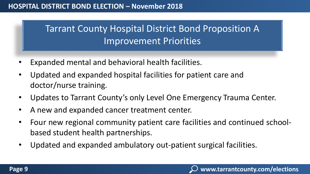# Tarrant County Hospital District Bond Proposition A Improvement Priorities

- Expanded mental and behavioral health facilities.
- Updated and expanded hospital facilities for patient care and doctor/nurse training.
- Updates to Tarrant County's only Level One Emergency Trauma Center.
- A new and expanded cancer treatment center.
- Four new regional community patient care facilities and continued schoolbased student health partnerships.
- Updated and expanded ambulatory out-patient surgical facilities.